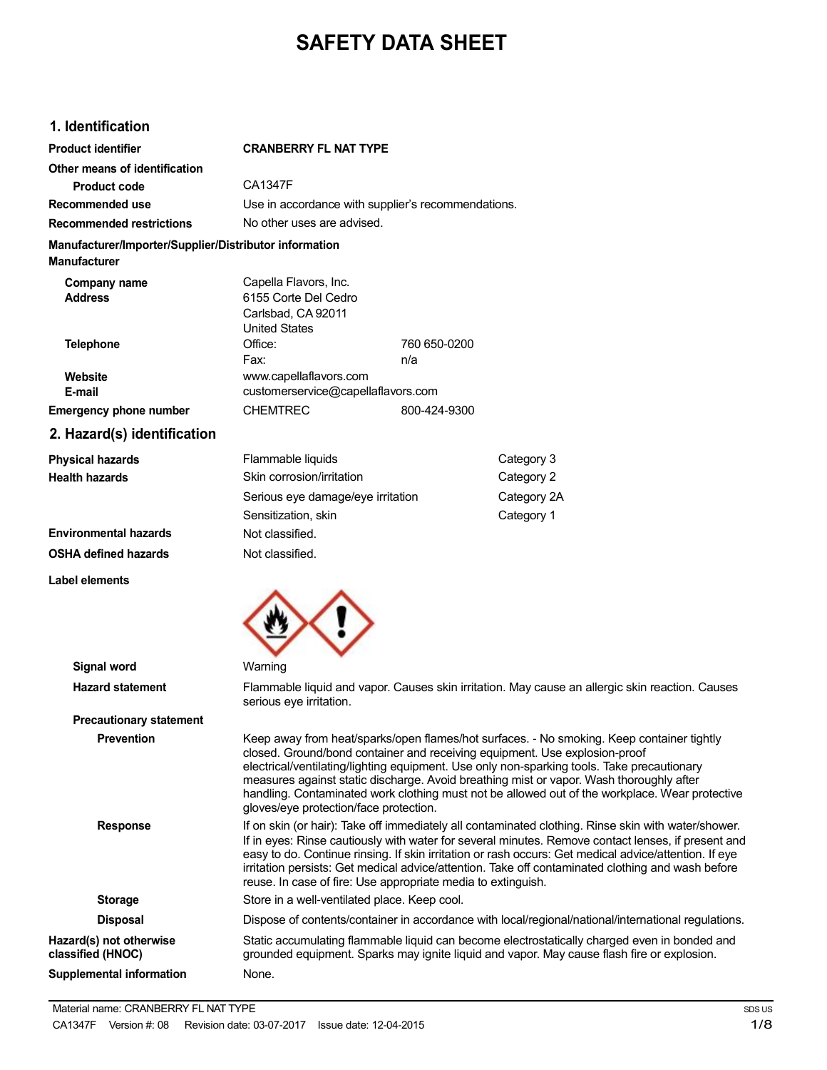# **SAFETY DATA SHEET**

### **1. Identification**

| <b>Product identifier</b>                                                     | <b>CRANBERRY FL NAT TYPE</b>                                                                                                                                                                                                                                                                                                                                                                                                                                                            |                                              |                                                                                                                                                                                                                                                                                                                                                                                                                                                                    |  |
|-------------------------------------------------------------------------------|-----------------------------------------------------------------------------------------------------------------------------------------------------------------------------------------------------------------------------------------------------------------------------------------------------------------------------------------------------------------------------------------------------------------------------------------------------------------------------------------|----------------------------------------------|--------------------------------------------------------------------------------------------------------------------------------------------------------------------------------------------------------------------------------------------------------------------------------------------------------------------------------------------------------------------------------------------------------------------------------------------------------------------|--|
| Other means of identification                                                 |                                                                                                                                                                                                                                                                                                                                                                                                                                                                                         |                                              |                                                                                                                                                                                                                                                                                                                                                                                                                                                                    |  |
| <b>Product code</b>                                                           | <b>CA1347F</b>                                                                                                                                                                                                                                                                                                                                                                                                                                                                          |                                              |                                                                                                                                                                                                                                                                                                                                                                                                                                                                    |  |
| Recommended use                                                               | Use in accordance with supplier's recommendations.                                                                                                                                                                                                                                                                                                                                                                                                                                      |                                              |                                                                                                                                                                                                                                                                                                                                                                                                                                                                    |  |
| <b>Recommended restrictions</b>                                               |                                                                                                                                                                                                                                                                                                                                                                                                                                                                                         | No other uses are advised.                   |                                                                                                                                                                                                                                                                                                                                                                                                                                                                    |  |
| Manufacturer/Importer/Supplier/Distributor information<br><b>Manufacturer</b> |                                                                                                                                                                                                                                                                                                                                                                                                                                                                                         |                                              |                                                                                                                                                                                                                                                                                                                                                                                                                                                                    |  |
| Company name<br><b>Address</b>                                                | Capella Flavors, Inc.<br>6155 Corte Del Cedro<br>Carlsbad, CA 92011<br><b>United States</b>                                                                                                                                                                                                                                                                                                                                                                                             |                                              |                                                                                                                                                                                                                                                                                                                                                                                                                                                                    |  |
| <b>Telephone</b>                                                              | Office:<br>Fax:                                                                                                                                                                                                                                                                                                                                                                                                                                                                         | 760 650-0200<br>n/a                          |                                                                                                                                                                                                                                                                                                                                                                                                                                                                    |  |
| Website<br>E-mail                                                             | www.capellaflavors.com<br>customerservice@capellaflavors.com                                                                                                                                                                                                                                                                                                                                                                                                                            |                                              |                                                                                                                                                                                                                                                                                                                                                                                                                                                                    |  |
| <b>Emergency phone number</b>                                                 | <b>CHEMTREC</b>                                                                                                                                                                                                                                                                                                                                                                                                                                                                         | 800-424-9300                                 |                                                                                                                                                                                                                                                                                                                                                                                                                                                                    |  |
| 2. Hazard(s) identification                                                   |                                                                                                                                                                                                                                                                                                                                                                                                                                                                                         |                                              |                                                                                                                                                                                                                                                                                                                                                                                                                                                                    |  |
| <b>Physical hazards</b>                                                       | Flammable liquids                                                                                                                                                                                                                                                                                                                                                                                                                                                                       |                                              | Category 3                                                                                                                                                                                                                                                                                                                                                                                                                                                         |  |
| <b>Health hazards</b>                                                         | Skin corrosion/irritation                                                                                                                                                                                                                                                                                                                                                                                                                                                               |                                              | Category 2                                                                                                                                                                                                                                                                                                                                                                                                                                                         |  |
|                                                                               | Serious eye damage/eye irritation                                                                                                                                                                                                                                                                                                                                                                                                                                                       |                                              | Category 2A                                                                                                                                                                                                                                                                                                                                                                                                                                                        |  |
|                                                                               | Sensitization, skin                                                                                                                                                                                                                                                                                                                                                                                                                                                                     |                                              | Category 1                                                                                                                                                                                                                                                                                                                                                                                                                                                         |  |
| <b>Environmental hazards</b>                                                  | Not classified.                                                                                                                                                                                                                                                                                                                                                                                                                                                                         |                                              |                                                                                                                                                                                                                                                                                                                                                                                                                                                                    |  |
| <b>OSHA defined hazards</b>                                                   | Not classified.                                                                                                                                                                                                                                                                                                                                                                                                                                                                         |                                              |                                                                                                                                                                                                                                                                                                                                                                                                                                                                    |  |
|                                                                               |                                                                                                                                                                                                                                                                                                                                                                                                                                                                                         |                                              |                                                                                                                                                                                                                                                                                                                                                                                                                                                                    |  |
| <b>Label elements</b>                                                         |                                                                                                                                                                                                                                                                                                                                                                                                                                                                                         |                                              |                                                                                                                                                                                                                                                                                                                                                                                                                                                                    |  |
| <b>Signal word</b>                                                            | Warning                                                                                                                                                                                                                                                                                                                                                                                                                                                                                 |                                              |                                                                                                                                                                                                                                                                                                                                                                                                                                                                    |  |
| <b>Hazard statement</b>                                                       | serious eye irritation.                                                                                                                                                                                                                                                                                                                                                                                                                                                                 |                                              | Flammable liquid and vapor. Causes skin irritation. May cause an allergic skin reaction. Causes                                                                                                                                                                                                                                                                                                                                                                    |  |
| <b>Precautionary statement</b>                                                |                                                                                                                                                                                                                                                                                                                                                                                                                                                                                         |                                              |                                                                                                                                                                                                                                                                                                                                                                                                                                                                    |  |
| <b>Prevention</b>                                                             | gloves/eye protection/face protection.                                                                                                                                                                                                                                                                                                                                                                                                                                                  |                                              | Keep away from heat/sparks/open flames/hot surfaces. - No smoking. Keep container tightly<br>closed. Ground/bond container and receiving equipment. Use explosion-proof<br>electrical/ventilating/lighting equipment. Use only non-sparking tools. Take precautionary<br>measures against static discharge. Avoid breathing mist or vapor. Wash thoroughly after<br>handling. Contaminated work clothing must not be allowed out of the workplace. Wear protective |  |
| <b>Response</b>                                                               | If on skin (or hair): Take off immediately all contaminated clothing. Rinse skin with water/shower.<br>If in eyes: Rinse cautiously with water for several minutes. Remove contact lenses, if present and<br>easy to do. Continue rinsing. If skin irritation or rash occurs: Get medical advice/attention. If eye<br>irritation persists: Get medical advice/attention. Take off contaminated clothing and wash before<br>reuse. In case of fire: Use appropriate media to extinguish. |                                              |                                                                                                                                                                                                                                                                                                                                                                                                                                                                    |  |
| <b>Storage</b>                                                                |                                                                                                                                                                                                                                                                                                                                                                                                                                                                                         | Store in a well-ventilated place. Keep cool. |                                                                                                                                                                                                                                                                                                                                                                                                                                                                    |  |
| <b>Disposal</b>                                                               |                                                                                                                                                                                                                                                                                                                                                                                                                                                                                         |                                              | Dispose of contents/container in accordance with local/regional/national/international regulations.                                                                                                                                                                                                                                                                                                                                                                |  |
| Hazard(s) not otherwise<br>classified (HNOC)                                  | Static accumulating flammable liquid can become electrostatically charged even in bonded and<br>grounded equipment. Sparks may ignite liquid and vapor. May cause flash fire or explosion.                                                                                                                                                                                                                                                                                              |                                              |                                                                                                                                                                                                                                                                                                                                                                                                                                                                    |  |
| <b>Supplemental information</b>                                               | None.                                                                                                                                                                                                                                                                                                                                                                                                                                                                                   |                                              |                                                                                                                                                                                                                                                                                                                                                                                                                                                                    |  |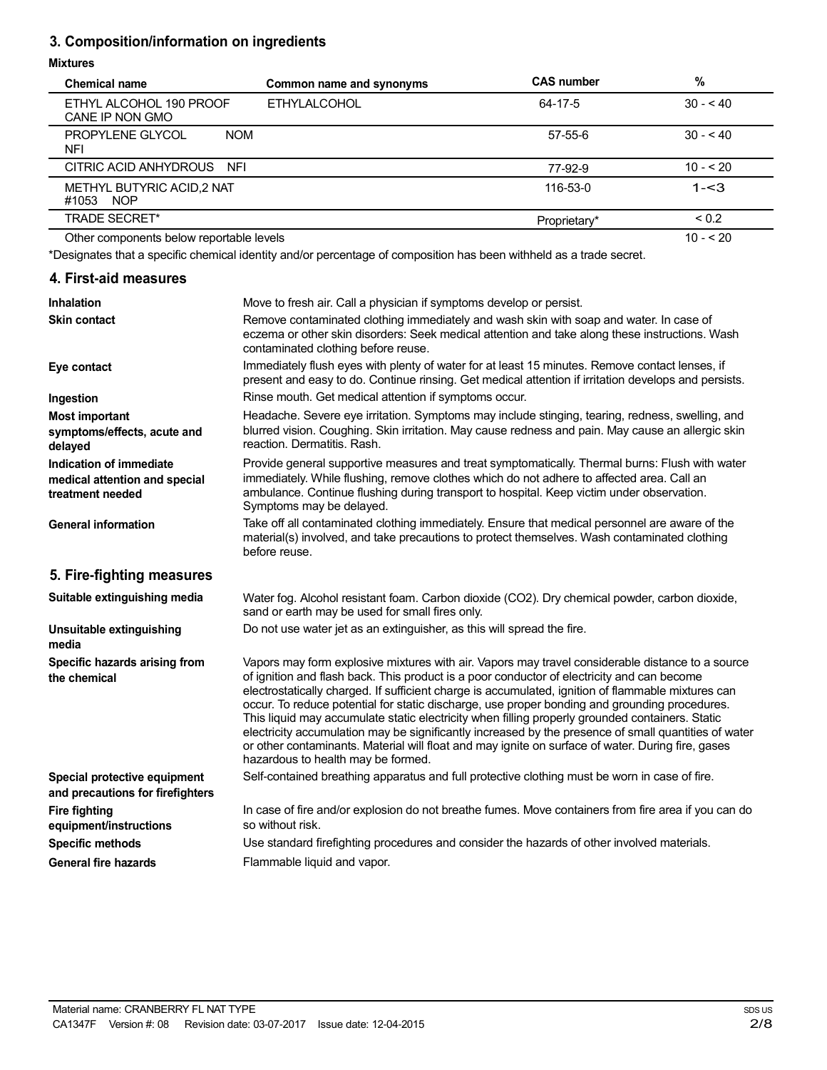### **3. Composition/information on ingredients**

### **Mixtures**

| <b>Chemical name</b>                             | Common name and synonyms | <b>CAS number</b> | %              |
|--------------------------------------------------|--------------------------|-------------------|----------------|
| ETHYL ALCOHOL 190 PROOF<br>CANE IP NON GMO       | <b>ETHYLALCOHOL</b>      | 64-17-5           | $30 - 40$      |
| PROPYLENE GLYCOL<br><b>NOM</b><br>NFI            |                          | $57 - 55 - 6$     | $30 - 40$      |
| CITRIC ACID ANHYDROUS NFI                        |                          | 77-92-9           | $10 - 520$     |
| METHYL BUTYRIC ACID,2 NAT<br><b>NOP</b><br>#1053 |                          | 116-53-0          | $1 - 3$        |
| <b>TRADE SECRET*</b>                             |                          | Proprietary*      | ${}^{5}$ < 0.2 |
| Other components below reportable levels         |                          |                   | $10 - 520$     |

\*Designates that a specific chemical identity and/or percentage of composition has been withheld as a trade secret.

### **4. First-aid measures**

| <b>Inhalation</b>                                                            | Move to fresh air. Call a physician if symptoms develop or persist.                                                                                                                                                                                                                                                                                                                                                                                                                                                                                                                                                                                                                                                                                         |
|------------------------------------------------------------------------------|-------------------------------------------------------------------------------------------------------------------------------------------------------------------------------------------------------------------------------------------------------------------------------------------------------------------------------------------------------------------------------------------------------------------------------------------------------------------------------------------------------------------------------------------------------------------------------------------------------------------------------------------------------------------------------------------------------------------------------------------------------------|
| <b>Skin contact</b>                                                          | Remove contaminated clothing immediately and wash skin with soap and water. In case of<br>eczema or other skin disorders: Seek medical attention and take along these instructions. Wash<br>contaminated clothing before reuse.                                                                                                                                                                                                                                                                                                                                                                                                                                                                                                                             |
| Eye contact                                                                  | Immediately flush eyes with plenty of water for at least 15 minutes. Remove contact lenses, if<br>present and easy to do. Continue rinsing. Get medical attention if irritation develops and persists.                                                                                                                                                                                                                                                                                                                                                                                                                                                                                                                                                      |
| Ingestion                                                                    | Rinse mouth. Get medical attention if symptoms occur.                                                                                                                                                                                                                                                                                                                                                                                                                                                                                                                                                                                                                                                                                                       |
| <b>Most important</b><br>symptoms/effects, acute and<br>delayed              | Headache. Severe eye irritation. Symptoms may include stinging, tearing, redness, swelling, and<br>blurred vision. Coughing. Skin irritation. May cause redness and pain. May cause an allergic skin<br>reaction. Dermatitis. Rash.                                                                                                                                                                                                                                                                                                                                                                                                                                                                                                                         |
| Indication of immediate<br>medical attention and special<br>treatment needed | Provide general supportive measures and treat symptomatically. Thermal burns: Flush with water<br>immediately. While flushing, remove clothes which do not adhere to affected area. Call an<br>ambulance. Continue flushing during transport to hospital. Keep victim under observation.<br>Symptoms may be delayed.                                                                                                                                                                                                                                                                                                                                                                                                                                        |
| <b>General information</b>                                                   | Take off all contaminated clothing immediately. Ensure that medical personnel are aware of the<br>material(s) involved, and take precautions to protect themselves. Wash contaminated clothing<br>before reuse.                                                                                                                                                                                                                                                                                                                                                                                                                                                                                                                                             |
| 5. Fire-fighting measures                                                    |                                                                                                                                                                                                                                                                                                                                                                                                                                                                                                                                                                                                                                                                                                                                                             |
| Suitable extinguishing media                                                 | Water fog. Alcohol resistant foam. Carbon dioxide (CO2). Dry chemical powder, carbon dioxide,<br>sand or earth may be used for small fires only.                                                                                                                                                                                                                                                                                                                                                                                                                                                                                                                                                                                                            |
| Unsuitable extinguishing<br>media                                            | Do not use water jet as an extinguisher, as this will spread the fire.                                                                                                                                                                                                                                                                                                                                                                                                                                                                                                                                                                                                                                                                                      |
| Specific hazards arising from<br>the chemical                                | Vapors may form explosive mixtures with air. Vapors may travel considerable distance to a source<br>of ignition and flash back. This product is a poor conductor of electricity and can become<br>electrostatically charged. If sufficient charge is accumulated, ignition of flammable mixtures can<br>occur. To reduce potential for static discharge, use proper bonding and grounding procedures.<br>This liquid may accumulate static electricity when filling properly grounded containers. Static<br>electricity accumulation may be significantly increased by the presence of small quantities of water<br>or other contaminants. Material will float and may ignite on surface of water. During fire, gases<br>hazardous to health may be formed. |
| Special protective equipment<br>and precautions for firefighters             | Self-contained breathing apparatus and full protective clothing must be worn in case of fire.                                                                                                                                                                                                                                                                                                                                                                                                                                                                                                                                                                                                                                                               |
| <b>Fire fighting</b><br>equipment/instructions                               | In case of fire and/or explosion do not breathe fumes. Move containers from fire area if you can do<br>so without risk.                                                                                                                                                                                                                                                                                                                                                                                                                                                                                                                                                                                                                                     |
| <b>Specific methods</b>                                                      | Use standard firefighting procedures and consider the hazards of other involved materials.                                                                                                                                                                                                                                                                                                                                                                                                                                                                                                                                                                                                                                                                  |
| <b>General fire hazards</b>                                                  | Flammable liquid and vapor.                                                                                                                                                                                                                                                                                                                                                                                                                                                                                                                                                                                                                                                                                                                                 |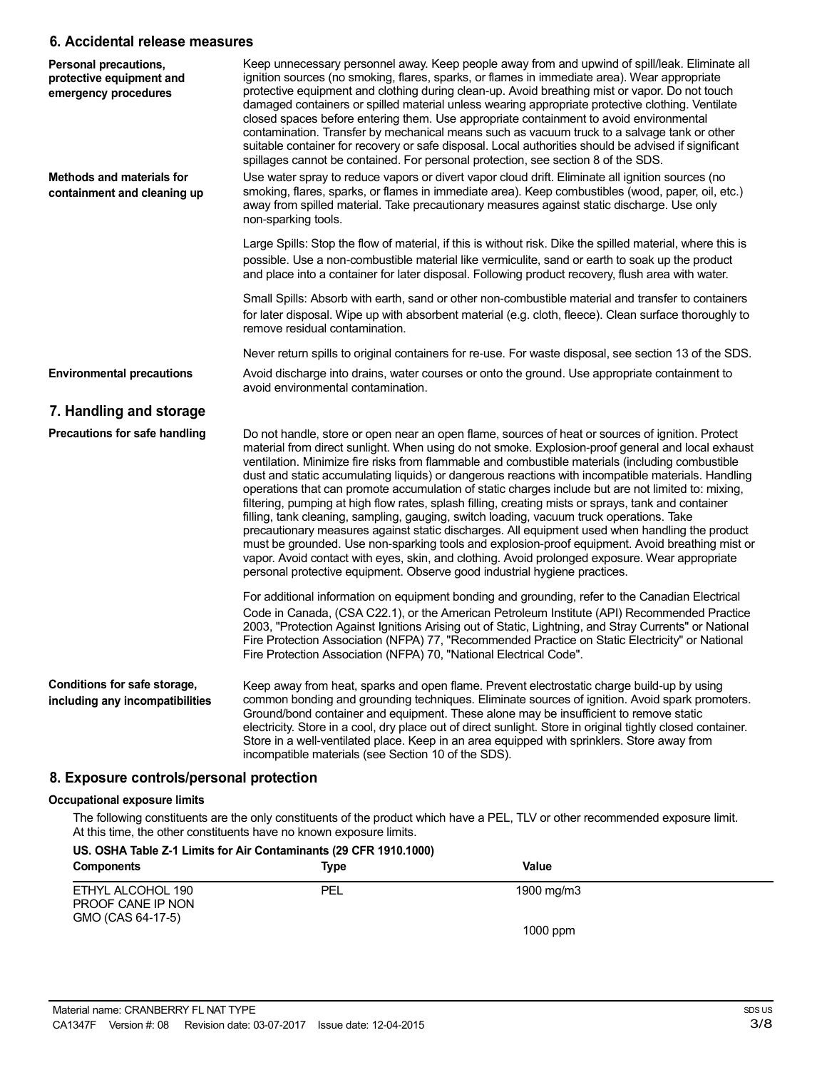### **6. Accidental release measures**

| Personal precautions,<br>protective equipment and<br>emergency procedures | Keep unnecessary personnel away. Keep people away from and upwind of spill/leak. Eliminate all<br>ignition sources (no smoking, flares, sparks, or flames in immediate area). Wear appropriate<br>protective equipment and clothing during clean-up. Avoid breathing mist or vapor. Do not touch<br>damaged containers or spilled material unless wearing appropriate protective clothing. Ventilate<br>closed spaces before entering them. Use appropriate containment to avoid environmental<br>contamination. Transfer by mechanical means such as vacuum truck to a salvage tank or other<br>suitable container for recovery or safe disposal. Local authorities should be advised if significant<br>spillages cannot be contained. For personal protection, see section 8 of the SDS.                                                                                                                                                                                                                                                                                                                   |
|---------------------------------------------------------------------------|--------------------------------------------------------------------------------------------------------------------------------------------------------------------------------------------------------------------------------------------------------------------------------------------------------------------------------------------------------------------------------------------------------------------------------------------------------------------------------------------------------------------------------------------------------------------------------------------------------------------------------------------------------------------------------------------------------------------------------------------------------------------------------------------------------------------------------------------------------------------------------------------------------------------------------------------------------------------------------------------------------------------------------------------------------------------------------------------------------------|
| Methods and materials for<br>containment and cleaning up                  | Use water spray to reduce vapors or divert vapor cloud drift. Eliminate all ignition sources (no<br>smoking, flares, sparks, or flames in immediate area). Keep combustibles (wood, paper, oil, etc.)<br>away from spilled material. Take precautionary measures against static discharge. Use only<br>non-sparking tools.                                                                                                                                                                                                                                                                                                                                                                                                                                                                                                                                                                                                                                                                                                                                                                                   |
|                                                                           | Large Spills: Stop the flow of material, if this is without risk. Dike the spilled material, where this is<br>possible. Use a non-combustible material like vermiculite, sand or earth to soak up the product<br>and place into a container for later disposal. Following product recovery, flush area with water.                                                                                                                                                                                                                                                                                                                                                                                                                                                                                                                                                                                                                                                                                                                                                                                           |
|                                                                           | Small Spills: Absorb with earth, sand or other non-combustible material and transfer to containers<br>for later disposal. Wipe up with absorbent material (e.g. cloth, fleece). Clean surface thoroughly to<br>remove residual contamination.                                                                                                                                                                                                                                                                                                                                                                                                                                                                                                                                                                                                                                                                                                                                                                                                                                                                |
|                                                                           | Never return spills to original containers for re-use. For waste disposal, see section 13 of the SDS.                                                                                                                                                                                                                                                                                                                                                                                                                                                                                                                                                                                                                                                                                                                                                                                                                                                                                                                                                                                                        |
| <b>Environmental precautions</b>                                          | Avoid discharge into drains, water courses or onto the ground. Use appropriate containment to<br>avoid environmental contamination.                                                                                                                                                                                                                                                                                                                                                                                                                                                                                                                                                                                                                                                                                                                                                                                                                                                                                                                                                                          |
| 7. Handling and storage                                                   |                                                                                                                                                                                                                                                                                                                                                                                                                                                                                                                                                                                                                                                                                                                                                                                                                                                                                                                                                                                                                                                                                                              |
| Precautions for safe handling                                             | Do not handle, store or open near an open flame, sources of heat or sources of ignition. Protect<br>material from direct sunlight. When using do not smoke. Explosion-proof general and local exhaust<br>ventilation. Minimize fire risks from flammable and combustible materials (including combustible<br>dust and static accumulating liquids) or dangerous reactions with incompatible materials. Handling<br>operations that can promote accumulation of static charges include but are not limited to: mixing,<br>filtering, pumping at high flow rates, splash filling, creating mists or sprays, tank and container<br>filling, tank cleaning, sampling, gauging, switch loading, vacuum truck operations. Take<br>precautionary measures against static discharges. All equipment used when handling the product<br>must be grounded. Use non-sparking tools and explosion-proof equipment. Avoid breathing mist or<br>vapor. Avoid contact with eyes, skin, and clothing. Avoid prolonged exposure. Wear appropriate<br>personal protective equipment. Observe good industrial hygiene practices. |
|                                                                           | For additional information on equipment bonding and grounding, refer to the Canadian Electrical<br>Code in Canada, (CSA C22.1), or the American Petroleum Institute (API) Recommended Practice<br>2003, "Protection Against Ignitions Arising out of Static, Lightning, and Stray Currents" or National<br>Fire Protection Association (NFPA) 77, "Recommended Practice on Static Electricity" or National<br>Fire Protection Association (NFPA) 70, "National Electrical Code".                                                                                                                                                                                                                                                                                                                                                                                                                                                                                                                                                                                                                             |
| Conditions for safe storage,<br>including any incompatibilities           | Keep away from heat, sparks and open flame. Prevent electrostatic charge build-up by using<br>common bonding and grounding techniques. Eliminate sources of ignition. Avoid spark promoters.<br>Ground/bond container and equipment. These alone may be insufficient to remove static<br>electricity. Store in a cool, dry place out of direct sunlight. Store in original tightly closed container.<br>Store in a well-ventilated place. Keep in an area equipped with sprinklers. Store away from<br>incompatible materials (see Section 10 of the SDS).                                                                                                                                                                                                                                                                                                                                                                                                                                                                                                                                                   |

# **8. Exposure controls/personal protection**

### **Occupational exposure limits**

The following constituents are the only constituents of the product which have a PEL, TLV or other recommended exposure limit. At this time, the other constituents have no known exposure limits.

### **US. OSHA Table Z-1 Limits for Air Contaminants (29 CFR 1910.1000)**

| <b>Components</b>                                           | Type | Value      |
|-------------------------------------------------------------|------|------------|
| ETHYL ALCOHOL 190<br>PROOF CANE IP NON<br>GMO (CAS 64-17-5) | PEL  | 1900 mg/m3 |
|                                                             |      | $1000$ ppm |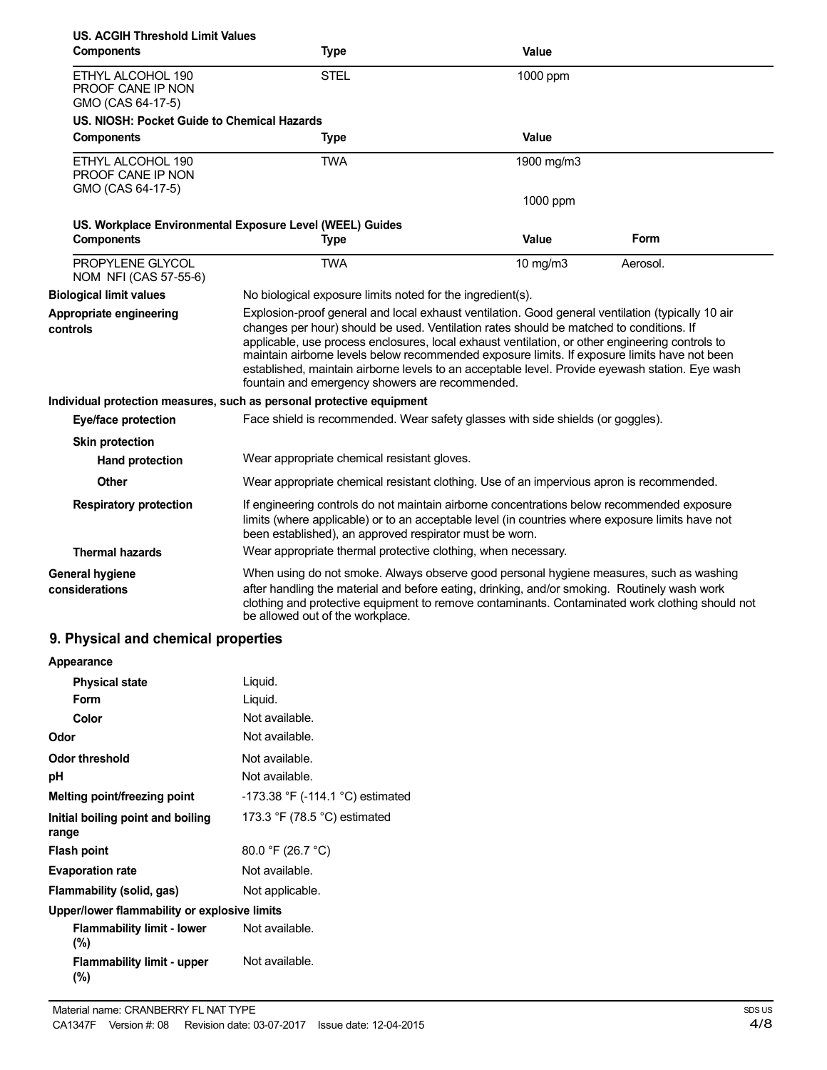| US. ACGIH Threshold Limit Values<br><b>Components</b>       | <b>Type</b>                                                                                                                                                                                                                                                                                                                                                                                                                                                                                                                                           | Value        |          |
|-------------------------------------------------------------|-------------------------------------------------------------------------------------------------------------------------------------------------------------------------------------------------------------------------------------------------------------------------------------------------------------------------------------------------------------------------------------------------------------------------------------------------------------------------------------------------------------------------------------------------------|--------------|----------|
| ETHYL ALCOHOL 190<br>PROOF CANE IP NON<br>GMO (CAS 64-17-5) | <b>STEL</b>                                                                                                                                                                                                                                                                                                                                                                                                                                                                                                                                           | 1000 ppm     |          |
| US. NIOSH: Pocket Guide to Chemical Hazards                 |                                                                                                                                                                                                                                                                                                                                                                                                                                                                                                                                                       |              |          |
| <b>Components</b>                                           | <b>Type</b>                                                                                                                                                                                                                                                                                                                                                                                                                                                                                                                                           | Value        |          |
| ETHYL ALCOHOL 190<br>PROOF CANE IP NON                      | <b>TWA</b>                                                                                                                                                                                                                                                                                                                                                                                                                                                                                                                                            | 1900 mg/m3   |          |
| GMO (CAS 64-17-5)                                           |                                                                                                                                                                                                                                                                                                                                                                                                                                                                                                                                                       | 1000 ppm     |          |
| <b>Components</b>                                           | US. Workplace Environmental Exposure Level (WEEL) Guides<br><b>Type</b>                                                                                                                                                                                                                                                                                                                                                                                                                                                                               | <b>Value</b> | Form     |
| PROPYLENE GLYCOL<br>NOM NFI (CAS 57-55-6)                   | <b>TWA</b>                                                                                                                                                                                                                                                                                                                                                                                                                                                                                                                                            | 10 mg/m3     | Aerosol. |
| <b>Biological limit values</b>                              | No biological exposure limits noted for the ingredient(s).                                                                                                                                                                                                                                                                                                                                                                                                                                                                                            |              |          |
| Appropriate engineering<br>controls                         | Explosion-proof general and local exhaust ventilation. Good general ventilation (typically 10 air<br>changes per hour) should be used. Ventilation rates should be matched to conditions. If<br>applicable, use process enclosures, local exhaust ventilation, or other engineering controls to<br>maintain airborne levels below recommended exposure limits. If exposure limits have not been<br>established, maintain airborne levels to an acceptable level. Provide eyewash station. Eye wash<br>fountain and emergency showers are recommended. |              |          |
|                                                             | Individual protection measures, such as personal protective equipment                                                                                                                                                                                                                                                                                                                                                                                                                                                                                 |              |          |
| Eye/face protection                                         | Face shield is recommended. Wear safety glasses with side shields (or goggles).                                                                                                                                                                                                                                                                                                                                                                                                                                                                       |              |          |
| <b>Skin protection</b>                                      |                                                                                                                                                                                                                                                                                                                                                                                                                                                                                                                                                       |              |          |
| <b>Hand protection</b>                                      | Wear appropriate chemical resistant gloves.                                                                                                                                                                                                                                                                                                                                                                                                                                                                                                           |              |          |
| Other                                                       | Wear appropriate chemical resistant clothing. Use of an impervious apron is recommended.                                                                                                                                                                                                                                                                                                                                                                                                                                                              |              |          |
| <b>Respiratory protection</b>                               | If engineering controls do not maintain airborne concentrations below recommended exposure<br>limits (where applicable) or to an acceptable level (in countries where exposure limits have not<br>been established), an approved respirator must be worn.                                                                                                                                                                                                                                                                                             |              |          |
| <b>Thermal hazards</b>                                      | Wear appropriate thermal protective clothing, when necessary.                                                                                                                                                                                                                                                                                                                                                                                                                                                                                         |              |          |
| <b>General hygiene</b><br>considerations                    | When using do not smoke. Always observe good personal hygiene measures, such as washing<br>after handling the material and before eating, drinking, and/or smoking. Routinely wash work<br>clothing and protective equipment to remove contaminants. Contaminated work clothing should not<br>be allowed out of the workplace.                                                                                                                                                                                                                        |              |          |

## **9. Physical and chemical properties**

| Appearance                                   |                                                |
|----------------------------------------------|------------------------------------------------|
| <b>Physical state</b>                        | Liquid.                                        |
| Form                                         | Liquid.                                        |
| Color                                        | Not available.                                 |
| Odor                                         | Not available.                                 |
| <b>Odor threshold</b>                        | Not available.                                 |
| рH                                           | Not available.                                 |
| Melting point/freezing point                 | -173.38 °F (-114.1 °C) estimated               |
| Initial boiling point and boiling<br>range   | 173.3 $\degree$ F (78.5 $\degree$ C) estimated |
| <b>Flash point</b>                           | 80.0 °F (26.7 °C)                              |
| <b>Evaporation rate</b>                      | Not available.                                 |
| Flammability (solid, gas)                    | Not applicable.                                |
| Upper/lower flammability or explosive limits |                                                |
| <b>Flammability limit - lower</b><br>$(\%)$  | Not available.                                 |
| <b>Flammability limit - upper</b><br>$(\% )$ | Not available.                                 |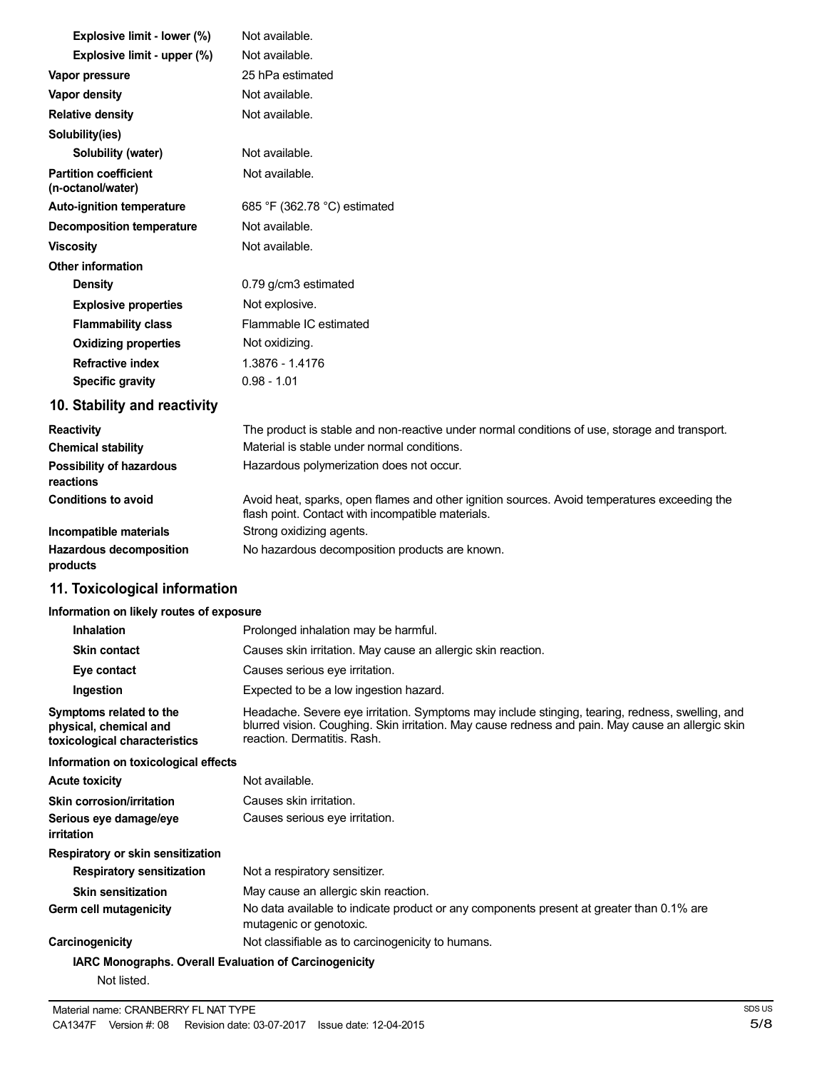| Explosive limit - lower (%)                       | Not available.                                                                                                                                    |
|---------------------------------------------------|---------------------------------------------------------------------------------------------------------------------------------------------------|
| Explosive limit - upper (%)                       | Not available.                                                                                                                                    |
| Vapor pressure                                    | 25 hPa estimated                                                                                                                                  |
| <b>Vapor density</b>                              | Not available.                                                                                                                                    |
| <b>Relative density</b>                           | Not available.                                                                                                                                    |
| Solubility(ies)                                   |                                                                                                                                                   |
| Solubility (water)                                | Not available.                                                                                                                                    |
| <b>Partition coefficient</b><br>(n-octanol/water) | Not available.                                                                                                                                    |
| <b>Auto-ignition temperature</b>                  | 685 °F (362.78 °C) estimated                                                                                                                      |
| <b>Decomposition temperature</b>                  | Not available.                                                                                                                                    |
| <b>Viscosity</b>                                  | Not available.                                                                                                                                    |
| Other information                                 |                                                                                                                                                   |
| Density                                           | 0.79 g/cm3 estimated                                                                                                                              |
| <b>Explosive properties</b>                       | Not explosive.                                                                                                                                    |
| <b>Flammability class</b>                         | Flammable IC estimated                                                                                                                            |
| <b>Oxidizing properties</b>                       | Not oxidizing.                                                                                                                                    |
| <b>Refractive index</b>                           | 1.3876 - 1.4176                                                                                                                                   |
| <b>Specific gravity</b>                           | $0.98 - 1.01$                                                                                                                                     |
| 10. Stability and reactivity                      |                                                                                                                                                   |
| <b>Reactivity</b>                                 | The product is stable and non-reactive under normal conditions of use, storage and transport.                                                     |
| <b>Chemical stability</b>                         | Material is stable under normal conditions.                                                                                                       |
| Possibility of hazardous<br>reactions             | Hazardous polymerization does not occur.                                                                                                          |
| <b>Conditions to avoid</b>                        | Avoid heat, sparks, open flames and other ignition sources. Avoid temperatures exceeding the<br>flash point. Contact with incompatible materials. |
| Incompatible materials                            | Strong oxidizing agents.                                                                                                                          |
| <b>Hazardous decomposition</b>                    | No hazardous decomposition products are known.                                                                                                    |

**Hazardous decomposition products**

### **11. Toxicological information**

### **Information on likely routes of exposure**

| <b>Inhalation</b>                                                                  | Prolonged inhalation may be harmful.                                                                                                                                                                                                |
|------------------------------------------------------------------------------------|-------------------------------------------------------------------------------------------------------------------------------------------------------------------------------------------------------------------------------------|
| <b>Skin contact</b>                                                                | Causes skin irritation. May cause an allergic skin reaction.                                                                                                                                                                        |
| Eye contact                                                                        | Causes serious eye irritation.                                                                                                                                                                                                      |
| Ingestion                                                                          | Expected to be a low ingestion hazard.                                                                                                                                                                                              |
| Symptoms related to the<br>physical, chemical and<br>toxicological characteristics | Headache. Severe eye irritation. Symptoms may include stinging, tearing, redness, swelling, and<br>blurred vision. Coughing. Skin irritation. May cause redness and pain. May cause an allergic skin<br>reaction, Dermatitis, Rash. |
| Information on toxicological effects                                               |                                                                                                                                                                                                                                     |
| <b>Acute toxicity</b>                                                              | Not available.                                                                                                                                                                                                                      |
| <b>Skin corrosion/irritation</b>                                                   | Causes skin irritation.                                                                                                                                                                                                             |
| Serious eye damage/eye<br>irritation                                               | Causes serious eye irritation.                                                                                                                                                                                                      |
| Respiratory or skin sensitization                                                  |                                                                                                                                                                                                                                     |
| <b>Respiratory sensitization</b>                                                   | Not a respiratory sensitizer.                                                                                                                                                                                                       |
| <b>Skin sensitization</b>                                                          | May cause an allergic skin reaction.                                                                                                                                                                                                |
| Germ cell mutagenicity                                                             | No data available to indicate product or any components present at greater than 0.1% are<br>mutagenic or genotoxic.                                                                                                                 |
| Carcinogenicity                                                                    | Not classifiable as to carcinogenicity to humans.                                                                                                                                                                                   |
| IARC Monographs. Overall Evaluation of Carcinogenicity                             |                                                                                                                                                                                                                                     |
| Not listed.                                                                        |                                                                                                                                                                                                                                     |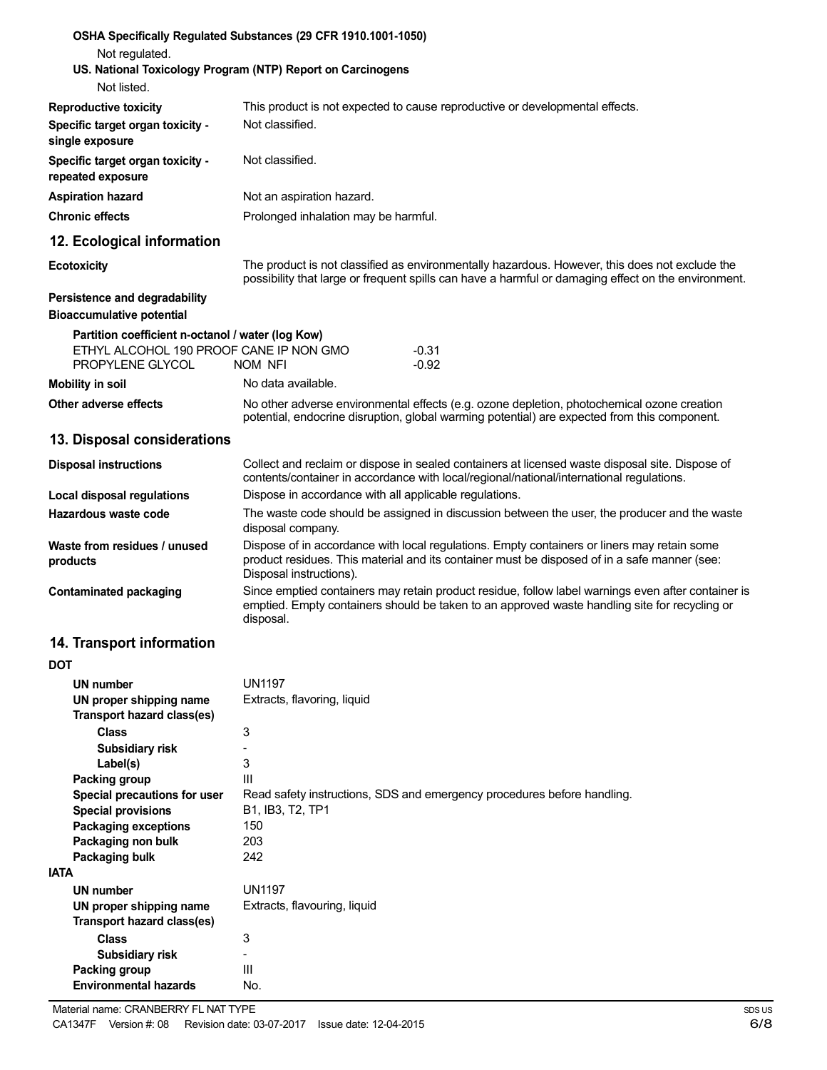| Not regulated.                                                           | OSHA Specifically Regulated Substances (29 CFR 1910.1001-1050)                                                                                                                                                         |
|--------------------------------------------------------------------------|------------------------------------------------------------------------------------------------------------------------------------------------------------------------------------------------------------------------|
| Not listed.                                                              | US. National Toxicology Program (NTP) Report on Carcinogens                                                                                                                                                            |
| <b>Reproductive toxicity</b>                                             | This product is not expected to cause reproductive or developmental effects.                                                                                                                                           |
| Specific target organ toxicity -<br>single exposure                      | Not classified.                                                                                                                                                                                                        |
| Specific target organ toxicity -<br>repeated exposure                    | Not classified.                                                                                                                                                                                                        |
| <b>Aspiration hazard</b>                                                 | Not an aspiration hazard.                                                                                                                                                                                              |
| <b>Chronic effects</b>                                                   | Prolonged inhalation may be harmful.                                                                                                                                                                                   |
| 12. Ecological information                                               |                                                                                                                                                                                                                        |
| <b>Ecotoxicity</b>                                                       | The product is not classified as environmentally hazardous. However, this does not exclude the<br>possibility that large or frequent spills can have a harmful or damaging effect on the environment.                  |
| <b>Persistence and degradability</b><br><b>Bioaccumulative potential</b> |                                                                                                                                                                                                                        |
| Partition coefficient n-octanol / water (log Kow)                        |                                                                                                                                                                                                                        |
| ETHYL ALCOHOL 190 PROOF CANE IP NON GMO<br>PROPYLENE GLYCOL              | $-0.31$<br>$-0.92$<br>NOM NFI                                                                                                                                                                                          |
| <b>Mobility in soil</b>                                                  | No data available.                                                                                                                                                                                                     |
| Other adverse effects                                                    | No other adverse environmental effects (e.g. ozone depletion, photochemical ozone creation<br>potential, endocrine disruption, global warming potential) are expected from this component.                             |
| 13. Disposal considerations                                              |                                                                                                                                                                                                                        |
| <b>Disposal instructions</b>                                             | Collect and reclaim or dispose in sealed containers at licensed waste disposal site. Dispose of<br>contents/container in accordance with local/regional/national/international regulations.                            |
| Local disposal regulations                                               | Dispose in accordance with all applicable regulations.                                                                                                                                                                 |
| Hazardous waste code                                                     | The waste code should be assigned in discussion between the user, the producer and the waste<br>disposal company.                                                                                                      |
| Waste from residues / unused<br>products                                 | Dispose of in accordance with local regulations. Empty containers or liners may retain some<br>product residues. This material and its container must be disposed of in a safe manner (see:<br>Disposal instructions). |
| <b>Contaminated packaging</b>                                            | Since emptied containers may retain product residue, follow label warnings even after container is<br>emptied. Empty containers should be taken to an approved waste handling site for recycling or<br>disposal.       |
| 14. Transport information                                                |                                                                                                                                                                                                                        |
| <b>DOT</b>                                                               |                                                                                                                                                                                                                        |
| <b>UN number</b><br>UN proper shipping name                              | <b>UN1197</b><br>Extracts, flavoring, liquid                                                                                                                                                                           |
| <b>Transport hazard class(es)</b>                                        |                                                                                                                                                                                                                        |
| <b>Class</b><br>Subsidiary risk                                          | 3                                                                                                                                                                                                                      |
| Label(s)                                                                 | 3                                                                                                                                                                                                                      |
| Packing group                                                            | Ш                                                                                                                                                                                                                      |
| Special precautions for user                                             | Read safety instructions, SDS and emergency procedures before handling.                                                                                                                                                |
| <b>Special provisions</b>                                                | B1, IB3, T2, TP1                                                                                                                                                                                                       |
| <b>Packaging exceptions</b>                                              | 150<br>203                                                                                                                                                                                                             |
| Packaging non bulk<br>Packaging bulk                                     | 242                                                                                                                                                                                                                    |
| <b>IATA</b>                                                              |                                                                                                                                                                                                                        |
| <b>UN number</b>                                                         | <b>UN1197</b>                                                                                                                                                                                                          |
| UN proper shipping name                                                  | Extracts, flavouring, liquid                                                                                                                                                                                           |
| <b>Transport hazard class(es)</b>                                        |                                                                                                                                                                                                                        |
| <b>Class</b>                                                             | 3                                                                                                                                                                                                                      |
| Subsidiary risk<br>Packing group                                         | ä,<br>III                                                                                                                                                                                                              |
| <b>Environmental hazards</b>                                             | No.                                                                                                                                                                                                                    |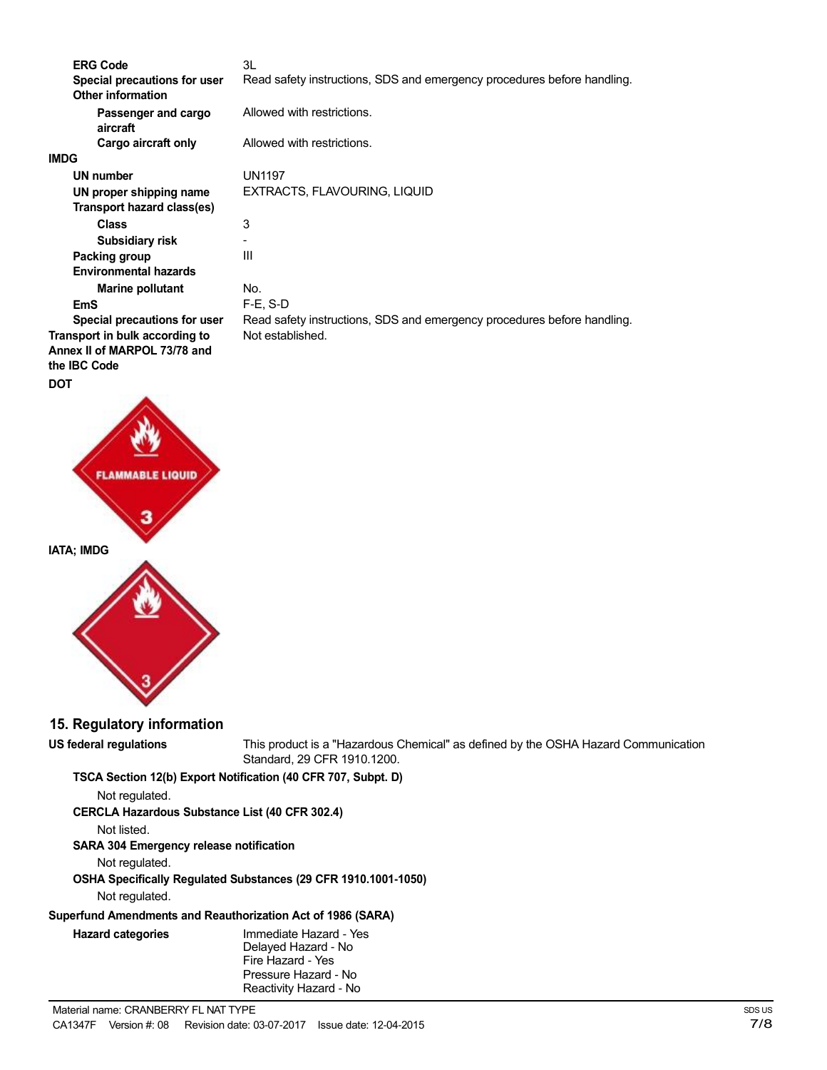| <b>ERG Code</b>                 | 3L                                                                      |
|---------------------------------|-------------------------------------------------------------------------|
| Special precautions for user    | Read safety instructions, SDS and emergency procedures before handling. |
| <b>Other information</b>        |                                                                         |
| Passenger and cargo<br>aircraft | Allowed with restrictions.                                              |
| Cargo aircraft only             | Allowed with restrictions.                                              |
| <b>IMDG</b>                     |                                                                         |
| UN number                       | <b>UN1197</b>                                                           |
| UN proper shipping name         | EXTRACTS, FLAVOURING, LIQUID                                            |
| Transport hazard class(es)      |                                                                         |
| <b>Class</b>                    | 3                                                                       |
| Subsidiary risk                 |                                                                         |
| Packing group                   | Ш                                                                       |
| <b>Environmental hazards</b>    |                                                                         |
| <b>Marine pollutant</b>         | No.                                                                     |
| EmS                             | $F-E$ , S-D                                                             |
| Special precautions for user    | Read safety instructions, SDS and emergency procedures before handling. |
| Transport in bulk according to  | Not established.                                                        |
| Annex II of MARPOL 73/78 and    |                                                                         |
| the <b>IBC</b> Code             |                                                                         |
| <b>DOT</b>                      |                                                                         |



**15. Regulatory information**

**US federal regulations** This product is a "Hazardous Chemical" as defined by the OSHA Hazard Communication Standard, 29 CFR 1910.1200.

**TSCA Section 12(b) Export Notification (40 CFR 707, Subpt. D)**

Not regulated.

**CERCLA Hazardous Substance List (40 CFR 302.4)**

Not listed.

**SARA 304 Emergency release notification**

Not regulated.

**OSHA Specifically Regulated Substances (29 CFR 1910.1001-1050)**

Not regulated.

### **Superfund Amendments and Reauthorization Act of 1986 (SARA)**

| <b>Hazard categories</b> | Immediate Hazard - Yes<br>Delayed Hazard - No<br>Fire Hazard - Yes |
|--------------------------|--------------------------------------------------------------------|
|                          | Pressure Hazard - No<br>Reactivity Hazard - No                     |